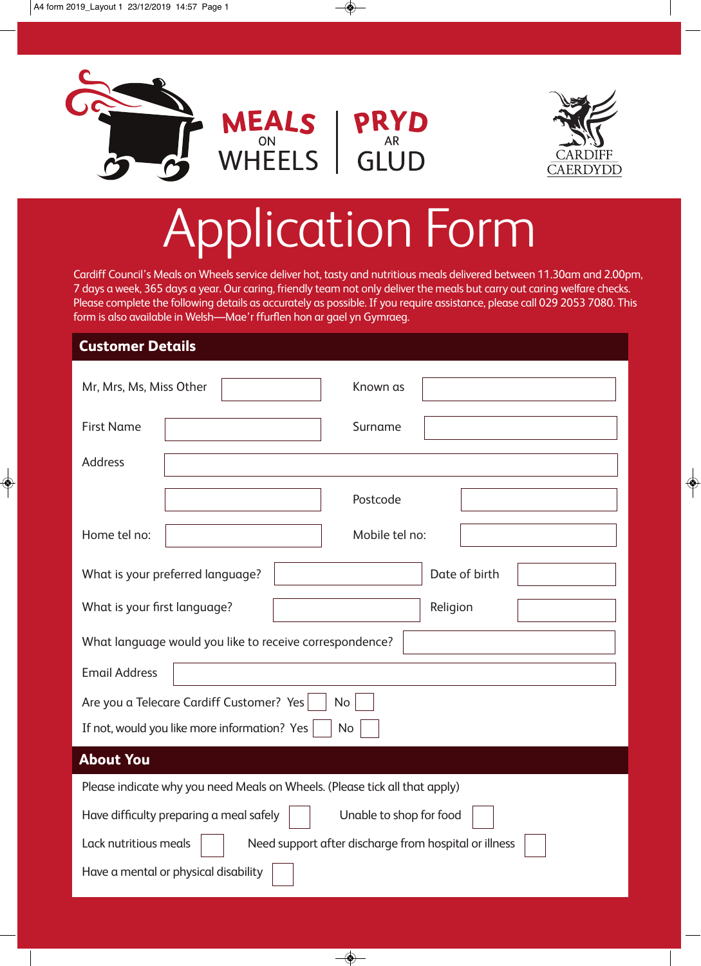



◈



 $\bullet$ 

## Application Form

Cardiff Council's Meals on Wheels service deliver hot, tasty and nutritious meals delivered between 11.30am and 2.00pm, 7 days a week, 365 days a year. Our caring, friendly team not only deliver the meals but carry out caring welfare checks. Please complete the following details as accurately as possible. If you require assistance, please call 029 2053 7080. This form is also available in Welsh—Mae'r ffurflen hon ar gael yn Gymraeg.

## **Customer Details**

◈

| Mr, Mrs, Ms, Miss Other                                                        | Known as       |  |
|--------------------------------------------------------------------------------|----------------|--|
| <b>First Name</b>                                                              | Surname        |  |
| <b>Address</b>                                                                 |                |  |
|                                                                                | Postcode       |  |
| Home tel no:                                                                   | Mobile tel no: |  |
| What is your preferred language?                                               | Date of birth  |  |
| What is your first language?                                                   | Religion       |  |
| What language would you like to receive correspondence?                        |                |  |
| <b>Email Address</b>                                                           |                |  |
| Are you a Telecare Cardiff Customer? Yes<br>No                                 |                |  |
| If not, would you like more information? Yes<br><b>No</b>                      |                |  |
| <b>About You</b>                                                               |                |  |
| Please indicate why you need Meals on Wheels. (Please tick all that apply)     |                |  |
| Have difficulty preparing a meal safely<br>Unable to shop for food             |                |  |
| Lack nutritious meals<br>Need support after discharge from hospital or illness |                |  |
| Have a mental or physical disability                                           |                |  |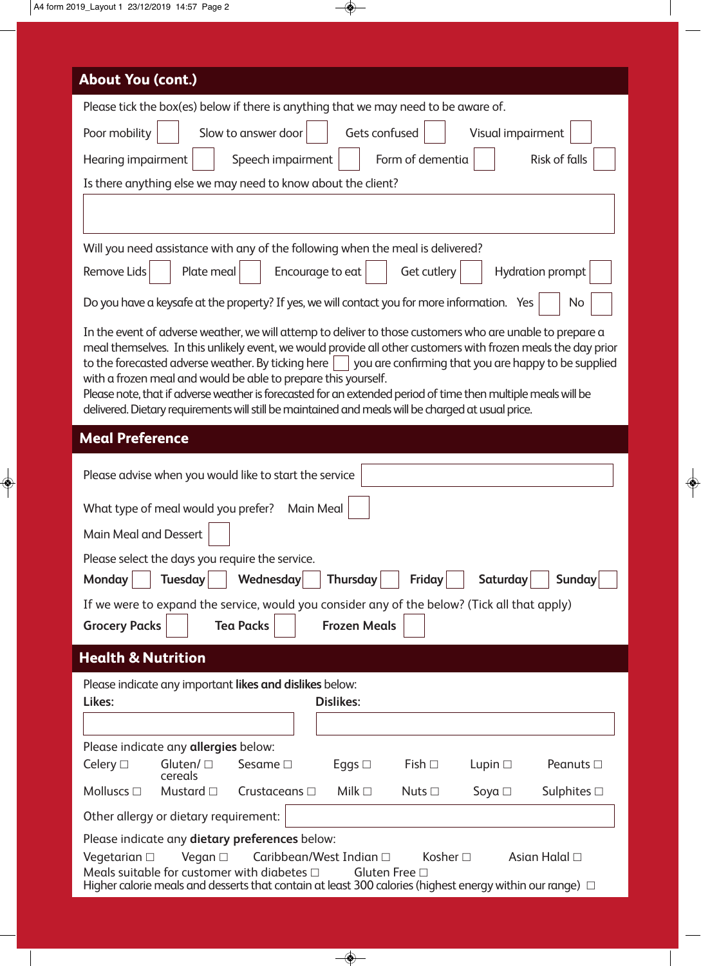$\begin{array}{c} \bullet \\ \bullet \end{array}$ 

| <b>About You (cont.)</b>                                                                                                                                                                                                                                                                                                                                                                                                                                                                                                                                                                                                                       |  |  |
|------------------------------------------------------------------------------------------------------------------------------------------------------------------------------------------------------------------------------------------------------------------------------------------------------------------------------------------------------------------------------------------------------------------------------------------------------------------------------------------------------------------------------------------------------------------------------------------------------------------------------------------------|--|--|
|                                                                                                                                                                                                                                                                                                                                                                                                                                                                                                                                                                                                                                                |  |  |
| Please tick the box(es) below if there is anything that we may need to be aware of.                                                                                                                                                                                                                                                                                                                                                                                                                                                                                                                                                            |  |  |
| Gets confused<br>Poor mobility<br>Slow to answer door<br>Visual impairment                                                                                                                                                                                                                                                                                                                                                                                                                                                                                                                                                                     |  |  |
| Hearing impairment<br>Speech impairment<br>Form of dementia<br><b>Risk of falls</b>                                                                                                                                                                                                                                                                                                                                                                                                                                                                                                                                                            |  |  |
| Is there anything else we may need to know about the client?                                                                                                                                                                                                                                                                                                                                                                                                                                                                                                                                                                                   |  |  |
|                                                                                                                                                                                                                                                                                                                                                                                                                                                                                                                                                                                                                                                |  |  |
| Will you need assistance with any of the following when the meal is delivered?                                                                                                                                                                                                                                                                                                                                                                                                                                                                                                                                                                 |  |  |
| Plate meal<br>Encourage to eat<br><b>Hydration prompt</b><br>Remove Lids<br>Get cutlery                                                                                                                                                                                                                                                                                                                                                                                                                                                                                                                                                        |  |  |
| Do you have a keysafe at the property? If yes, we will contact you for more information. Yes<br>No                                                                                                                                                                                                                                                                                                                                                                                                                                                                                                                                             |  |  |
| In the event of adverse weather, we will attemp to deliver to those customers who are unable to prepare a<br>meal themselves. In this unlikely event, we would provide all other customers with frozen meals the day prior<br>to the forecasted adverse weather. By ticking here $\vert \ \vert$ you are confirming that you are happy to be supplied<br>with a frozen meal and would be able to prepare this yourself.<br>Please note, that if adverse weather is forecasted for an extended period of time then multiple meals will be<br>delivered. Dietary requirements will still be maintained and meals will be charged at usual price. |  |  |
| <b>Meal Preference</b>                                                                                                                                                                                                                                                                                                                                                                                                                                                                                                                                                                                                                         |  |  |
| Please advise when you would like to start the service                                                                                                                                                                                                                                                                                                                                                                                                                                                                                                                                                                                         |  |  |
| What type of meal would you prefer?<br>Main Meal                                                                                                                                                                                                                                                                                                                                                                                                                                                                                                                                                                                               |  |  |
| Main Meal and Dessert                                                                                                                                                                                                                                                                                                                                                                                                                                                                                                                                                                                                                          |  |  |
| Please select the days you require the service.                                                                                                                                                                                                                                                                                                                                                                                                                                                                                                                                                                                                |  |  |
| Thursday<br>Monday<br><b>Tuesday</b><br>Wednesday<br><b>Friday</b><br>Saturday<br>Sunday                                                                                                                                                                                                                                                                                                                                                                                                                                                                                                                                                       |  |  |
| If we were to expand the service, would you consider any of the below? (Tick all that apply)                                                                                                                                                                                                                                                                                                                                                                                                                                                                                                                                                   |  |  |
| <b>Tea Packs</b><br><b>Frozen Meals</b><br><b>Grocery Packs</b>                                                                                                                                                                                                                                                                                                                                                                                                                                                                                                                                                                                |  |  |
| <b>Health &amp; Nutrition</b>                                                                                                                                                                                                                                                                                                                                                                                                                                                                                                                                                                                                                  |  |  |
| Please indicate any important likes and dislikes below:                                                                                                                                                                                                                                                                                                                                                                                                                                                                                                                                                                                        |  |  |
| Likes:<br><b>Dislikes:</b>                                                                                                                                                                                                                                                                                                                                                                                                                                                                                                                                                                                                                     |  |  |
|                                                                                                                                                                                                                                                                                                                                                                                                                                                                                                                                                                                                                                                |  |  |
| Please indicate any allergies below:                                                                                                                                                                                                                                                                                                                                                                                                                                                                                                                                                                                                           |  |  |
| Celery $\Box$<br>Gluten/ $\square$<br>Sesame $\square$<br>Eggs $\Box$<br>Fish $\Box$<br>Lupin $\Box$<br>Peanuts $\Box$<br>cereals                                                                                                                                                                                                                                                                                                                                                                                                                                                                                                              |  |  |
| Molluscs $\square$<br>Mustard $\Box$<br>Crustaceans $\Box$<br>Milk $\square$<br>Nuts $\Box$<br>Soya $\Box$<br>Sulphites $\Box$                                                                                                                                                                                                                                                                                                                                                                                                                                                                                                                 |  |  |
| Other allergy or dietary requirement:                                                                                                                                                                                                                                                                                                                                                                                                                                                                                                                                                                                                          |  |  |
| Please indicate any dietary preferences below:                                                                                                                                                                                                                                                                                                                                                                                                                                                                                                                                                                                                 |  |  |
| Kosher $\square$<br>Asian Halal □<br>Vegetarian $\Box$<br>Vegan $\Box$<br>Caribbean/West Indian $\square$<br>Meals suitable for customer with diabetes $\Box$<br>Gluten Free □<br>Higher calorie meals and desserts that contain at least 300 calories (highest energy within our range) $\Box$                                                                                                                                                                                                                                                                                                                                                |  |  |

 $\overline{\Leftrightarrow}$ 

 $\begin{array}{c}\n\downarrow \\
\circ \\
\circ\n\end{array}$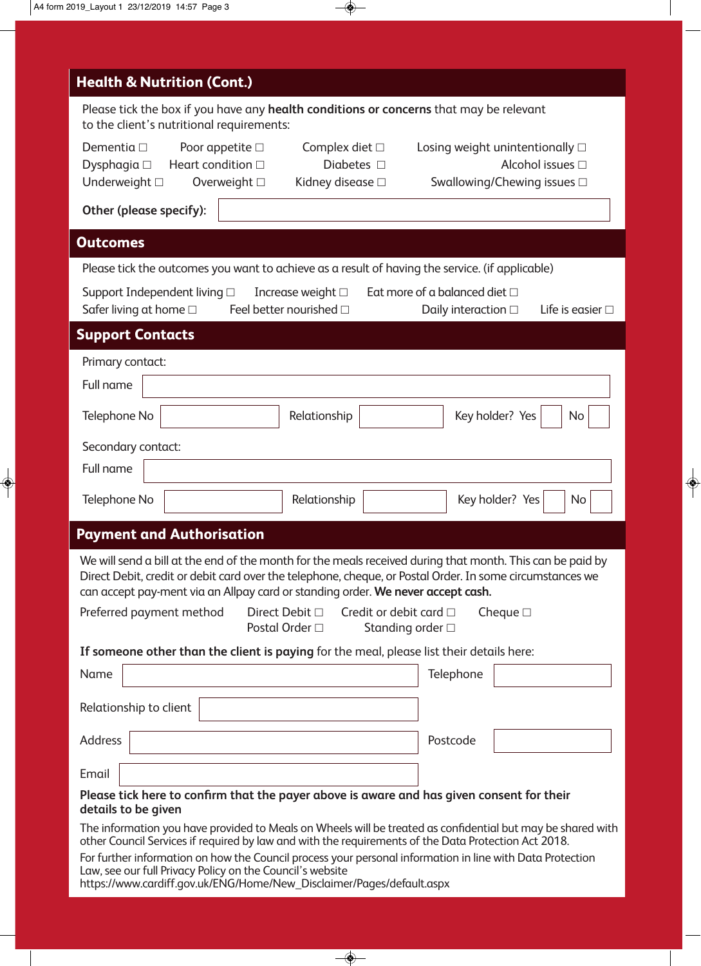$\begin{array}{c} \bullet \end{array}$ 

| <b>Health &amp; Nutrition (Cont.)</b>                                                                                                                                                                                                                                                                                          |  |  |
|--------------------------------------------------------------------------------------------------------------------------------------------------------------------------------------------------------------------------------------------------------------------------------------------------------------------------------|--|--|
| Please tick the box if you have any health conditions or concerns that may be relevant<br>to the client's nutritional requirements:                                                                                                                                                                                            |  |  |
| Dementia $\square$<br>Poor appetite $\square$<br>Complex diet $\Box$<br>Losing weight unintentionally $\square$<br>Alcohol issues □<br>Heart condition $\Box$<br>Diabetes $\Box$<br>Dysphagia $\square$                                                                                                                        |  |  |
| Underweight $\square$<br>Kidney disease □<br>Swallowing/Chewing issues □<br>Overweight $\square$<br>Other (please specify):                                                                                                                                                                                                    |  |  |
|                                                                                                                                                                                                                                                                                                                                |  |  |
| <b>Outcomes</b>                                                                                                                                                                                                                                                                                                                |  |  |
| Please tick the outcomes you want to achieve as a result of having the service. (if applicable)<br>Eat more of a balanced diet $\Box$<br>Support Independent living $\square$<br>Increase weight $\Box$<br>Safer living at home $\square$<br>Feel better nourished $\Box$<br>Life is easier $\Box$<br>Daily interaction $\Box$ |  |  |
| <b>Support Contacts</b>                                                                                                                                                                                                                                                                                                        |  |  |
| Primary contact:                                                                                                                                                                                                                                                                                                               |  |  |
| <b>Full name</b>                                                                                                                                                                                                                                                                                                               |  |  |
| Key holder? Yes<br>Telephone No<br>Relationship<br>No                                                                                                                                                                                                                                                                          |  |  |
| Secondary contact:                                                                                                                                                                                                                                                                                                             |  |  |
| <b>Full name</b>                                                                                                                                                                                                                                                                                                               |  |  |
| Key holder? Yes<br>Telephone No<br>Relationship<br>No                                                                                                                                                                                                                                                                          |  |  |
| <b>Payment and Authorisation</b>                                                                                                                                                                                                                                                                                               |  |  |
| We will send a bill at the end of the month for the meals received during that month. This can be paid by<br>Direct Debit, credit or debit card over the telephone, cheque, or Postal Order. In some circumstances we<br>can accept pay-ment via an Allpay card or standing order. We never accept cash.                       |  |  |
| Direct Debit □<br>Credit or debit card $\Box$<br>Cheque $\square$<br>Preferred payment method<br>Postal Order □<br>Standing order □                                                                                                                                                                                            |  |  |
| If someone other than the client is paying for the meal, please list their details here:                                                                                                                                                                                                                                       |  |  |
| Name<br>Telephone                                                                                                                                                                                                                                                                                                              |  |  |
| Relationship to client                                                                                                                                                                                                                                                                                                         |  |  |
| <b>Address</b><br>Postcode                                                                                                                                                                                                                                                                                                     |  |  |
| Email                                                                                                                                                                                                                                                                                                                          |  |  |
| Please tick here to confirm that the payer above is aware and has given consent for their<br>details to be given                                                                                                                                                                                                               |  |  |
| The information you have provided to Meals on Wheels will be treated as confidential but may be shared with<br>other Council Services if required by law and with the requirements of the Data Protection Act 2018.                                                                                                            |  |  |
| For further information on how the Council process your personal information in line with Data Protection<br>Law, see our full Privacy Policy on the Council's website<br>https://www.cardiff.gov.uk/ENG/Home/New_Disclaimer/Pages/default.aspx                                                                                |  |  |
|                                                                                                                                                                                                                                                                                                                                |  |  |

 $\overline{\Leftrightarrow}$ 

 $\frac{1}{\phi}$